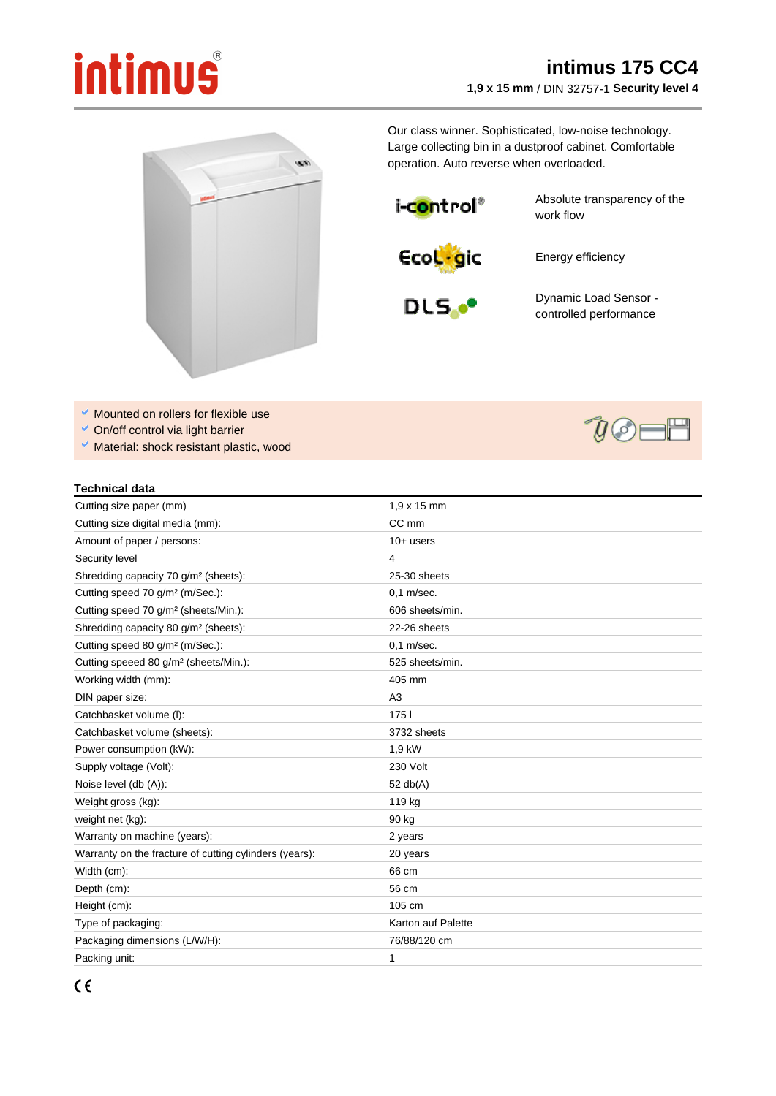## intimus

## **intimus 175 CC4 1,9 x 15 mm** / DIN 32757-1 **Security level 4**



Our class winner. Sophisticated, low-noise technology. Large collecting bin in a dustproof cabinet. Comfortable operation. Auto reverse when overloaded.

i-control®

Absolute transparency of the work flow



Energy efficiency



Dynamic Load Sensor controlled performance

- Mounted on rollers for flexible use
- On/off control via light barrier
- Material: shock resistant plastic, wood

## **Technical data**

| Cutting size paper (mm)                                | $1.9 \times 15$ mm |
|--------------------------------------------------------|--------------------|
| Cutting size digital media (mm):                       | CC mm              |
| Amount of paper / persons:                             | $10+$ users        |
| Security level                                         | 4                  |
| Shredding capacity 70 g/m <sup>2</sup> (sheets):       | 25-30 sheets       |
| Cutting speed 70 g/m <sup>2</sup> (m/Sec.):            | $0.1$ m/sec.       |
| Cutting speed 70 g/m <sup>2</sup> (sheets/Min.):       | 606 sheets/min.    |
| Shredding capacity 80 g/m <sup>2</sup> (sheets):       | 22-26 sheets       |
| Cutting speed 80 g/m <sup>2</sup> (m/Sec.):            | $0,1$ m/sec.       |
| Cutting speeed 80 g/m <sup>2</sup> (sheets/Min.):      | 525 sheets/min.    |
| Working width (mm):                                    | 405 mm             |
| DIN paper size:                                        | A <sub>3</sub>     |
| Catchbasket volume (I):                                | 1751               |
| Catchbasket volume (sheets):                           | 3732 sheets        |
| Power consumption (kW):                                | 1,9 kW             |
| Supply voltage (Volt):                                 | 230 Volt           |
| Noise level (db (A)):                                  | 52 $db(A)$         |
| Weight gross (kg):                                     | 119 kg             |
| weight net (kg):                                       | 90 kg              |
| Warranty on machine (years):                           | 2 years            |
| Warranty on the fracture of cutting cylinders (years): | 20 years           |
| Width (cm):                                            | 66 cm              |
| Depth (cm):                                            | 56 cm              |
| Height (cm):                                           | 105 cm             |
| Type of packaging:                                     | Karton auf Palette |
| Packaging dimensions (L/W/H):                          | 76/88/120 cm       |
| Packing unit:                                          | 1                  |